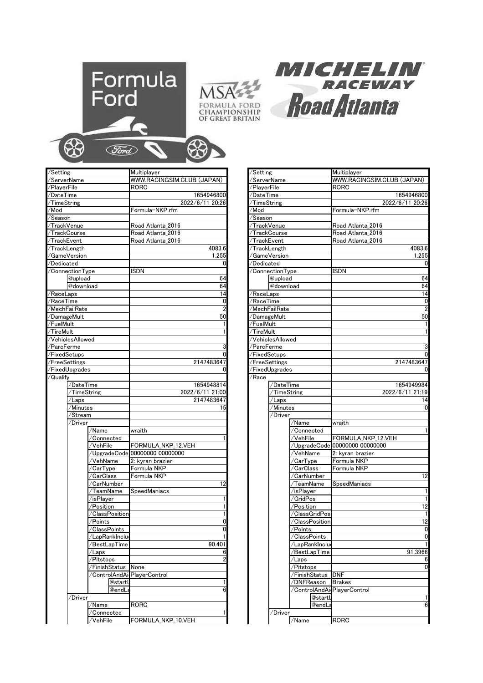





| /Setting              |                             | Multiplayer                    | /Setting                            |                          |                                                                                                                                                                                                                                                                                                                                                                                                                                                                                                                                                                                                                                                                                                                                             | Multiplayer                    |
|-----------------------|-----------------------------|--------------------------------|-------------------------------------|--------------------------|---------------------------------------------------------------------------------------------------------------------------------------------------------------------------------------------------------------------------------------------------------------------------------------------------------------------------------------------------------------------------------------------------------------------------------------------------------------------------------------------------------------------------------------------------------------------------------------------------------------------------------------------------------------------------------------------------------------------------------------------|--------------------------------|
| /ServerName           |                             | WWW.RACINGSIM.CLUB (JAPAN)     | /ServerName                         |                          |                                                                                                                                                                                                                                                                                                                                                                                                                                                                                                                                                                                                                                                                                                                                             | WWW.RACINGSIM.CLUB (JAPAN)     |
| /PlayerFile           |                             | RORC                           | /PlayerFile                         |                          |                                                                                                                                                                                                                                                                                                                                                                                                                                                                                                                                                                                                                                                                                                                                             | <b>RORC</b>                    |
| /DateTime             |                             | 1654946800                     | /DateTime                           |                          |                                                                                                                                                                                                                                                                                                                                                                                                                                                                                                                                                                                                                                                                                                                                             | 1654946800                     |
| /TimeString           |                             | 2022/6/11 20:26                | TimeString                          |                          |                                                                                                                                                                                                                                                                                                                                                                                                                                                                                                                                                                                                                                                                                                                                             | 2022/6/11 20:26                |
| /Mod                  |                             | Formula-NKP.rfm                | /Mod                                |                          |                                                                                                                                                                                                                                                                                                                                                                                                                                                                                                                                                                                                                                                                                                                                             | Formula-NKP.rfm                |
| /Season               |                             |                                | /Season                             |                          |                                                                                                                                                                                                                                                                                                                                                                                                                                                                                                                                                                                                                                                                                                                                             |                                |
| /TrackVenue           |                             | Road Atlanta 2016              | /TrackVenue                         |                          |                                                                                                                                                                                                                                                                                                                                                                                                                                                                                                                                                                                                                                                                                                                                             | Road Atlanta 2016              |
| /TrackCourse          |                             | Road Atlanta 2016              |                                     | /TrackCourse             |                                                                                                                                                                                                                                                                                                                                                                                                                                                                                                                                                                                                                                                                                                                                             | Road Atlanta 2016              |
| /TrackEvent           |                             | Road Atlanta 2016              | /TrackEvent                         |                          |                                                                                                                                                                                                                                                                                                                                                                                                                                                                                                                                                                                                                                                                                                                                             | Road Atlanta 2016              |
| /TrackLength          |                             | 4083.6                         |                                     | TrackLength <sup>/</sup> |                                                                                                                                                                                                                                                                                                                                                                                                                                                                                                                                                                                                                                                                                                                                             | 4083.6                         |
| /GameVersion          |                             | 1.255                          |                                     | GameVersion/             |                                                                                                                                                                                                                                                                                                                                                                                                                                                                                                                                                                                                                                                                                                                                             | 1.255                          |
| /Dedicated            |                             | 0                              |                                     | /Dedicated               |                                                                                                                                                                                                                                                                                                                                                                                                                                                                                                                                                                                                                                                                                                                                             | 0                              |
| /ConnectionType       |                             | <b>ISDN</b>                    |                                     | /ConnectionType          |                                                                                                                                                                                                                                                                                                                                                                                                                                                                                                                                                                                                                                                                                                                                             | ISDN                           |
| @upload               |                             | 64                             |                                     | @upload                  |                                                                                                                                                                                                                                                                                                                                                                                                                                                                                                                                                                                                                                                                                                                                             | 64                             |
| @download             |                             | 64                             |                                     | @download                |                                                                                                                                                                                                                                                                                                                                                                                                                                                                                                                                                                                                                                                                                                                                             | 64                             |
| /RaceLaps             |                             | 14                             | /RaceLaps                           |                          |                                                                                                                                                                                                                                                                                                                                                                                                                                                                                                                                                                                                                                                                                                                                             | 14                             |
| /RaceTime             |                             | 0                              | /RaceTime                           |                          |                                                                                                                                                                                                                                                                                                                                                                                                                                                                                                                                                                                                                                                                                                                                             | 0                              |
| /MechFailRate         |                             |                                |                                     | 'MechFailRate            |                                                                                                                                                                                                                                                                                                                                                                                                                                                                                                                                                                                                                                                                                                                                             | $\overline{2}$                 |
| /DamageMult           |                             | 50                             | /DamageMult                         |                          |                                                                                                                                                                                                                                                                                                                                                                                                                                                                                                                                                                                                                                                                                                                                             | 50                             |
| /FuelMult             |                             |                                |                                     |                          |                                                                                                                                                                                                                                                                                                                                                                                                                                                                                                                                                                                                                                                                                                                                             | $\mathbf{1}$                   |
| /TireMult             |                             |                                |                                     | /FuelMult<br>/TireMult   |                                                                                                                                                                                                                                                                                                                                                                                                                                                                                                                                                                                                                                                                                                                                             | $\mathbf{1}$                   |
| /VehiclesAllowed      |                             |                                |                                     |                          |                                                                                                                                                                                                                                                                                                                                                                                                                                                                                                                                                                                                                                                                                                                                             |                                |
| /ParcFerme            |                             |                                |                                     | /VehiclesAllowed         |                                                                                                                                                                                                                                                                                                                                                                                                                                                                                                                                                                                                                                                                                                                                             | 3                              |
| /FixedSetups          |                             |                                |                                     | ParcFerme                |                                                                                                                                                                                                                                                                                                                                                                                                                                                                                                                                                                                                                                                                                                                                             | 0                              |
|                       |                             | 2147483647                     |                                     | FixedSetups              |                                                                                                                                                                                                                                                                                                                                                                                                                                                                                                                                                                                                                                                                                                                                             | 2147483647                     |
| /FreeSettings         |                             |                                | /FreeSettings<br>FixedUpgrades<br>0 |                          | 0                                                                                                                                                                                                                                                                                                                                                                                                                                                                                                                                                                                                                                                                                                                                           |                                |
| /FixedUpgrades        |                             |                                |                                     |                          |                                                                                                                                                                                                                                                                                                                                                                                                                                                                                                                                                                                                                                                                                                                                             |                                |
| /Qualify<br>/DateTime |                             | 1654948814                     | /Race                               |                          |                                                                                                                                                                                                                                                                                                                                                                                                                                                                                                                                                                                                                                                                                                                                             | 1654949984                     |
|                       |                             |                                |                                     | /DateTime                |                                                                                                                                                                                                                                                                                                                                                                                                                                                                                                                                                                                                                                                                                                                                             |                                |
| /TimeString           |                             | 2022/6/11 21:00                |                                     | /TimeString              |                                                                                                                                                                                                                                                                                                                                                                                                                                                                                                                                                                                                                                                                                                                                             | 2022/6/11 21:19                |
| ′Laps                 |                             | 2147483647                     |                                     | /Laps                    |                                                                                                                                                                                                                                                                                                                                                                                                                                                                                                                                                                                                                                                                                                                                             | 14                             |
| Minutes               |                             | 15                             |                                     | /Minutes                 |                                                                                                                                                                                                                                                                                                                                                                                                                                                                                                                                                                                                                                                                                                                                             | 0                              |
| 'Stream               |                             |                                |                                     | /Driver                  |                                                                                                                                                                                                                                                                                                                                                                                                                                                                                                                                                                                                                                                                                                                                             |                                |
| /Driver               |                             |                                |                                     |                          | /Name                                                                                                                                                                                                                                                                                                                                                                                                                                                                                                                                                                                                                                                                                                                                       | wraith                         |
|                       | /Name                       | wraith                         |                                     |                          | /Connected                                                                                                                                                                                                                                                                                                                                                                                                                                                                                                                                                                                                                                                                                                                                  |                                |
|                       | /Connected                  |                                |                                     |                          | /VehFile                                                                                                                                                                                                                                                                                                                                                                                                                                                                                                                                                                                                                                                                                                                                    | FORMULA NKP 12.VEH             |
|                       | ⁄VehFile                    | FORMULA NKP 12.VEH             |                                     |                          |                                                                                                                                                                                                                                                                                                                                                                                                                                                                                                                                                                                                                                                                                                                                             | /UpgradeCode 00000000 00000000 |
|                       |                             | /UpgradeCode 00000000 00000000 |                                     |                          | /VehName                                                                                                                                                                                                                                                                                                                                                                                                                                                                                                                                                                                                                                                                                                                                    | 2: kyran brazier               |
|                       | /VehName                    | 2: kyran brazier               |                                     |                          | /CarType                                                                                                                                                                                                                                                                                                                                                                                                                                                                                                                                                                                                                                                                                                                                    | Formula NKP                    |
|                       | 'CarType                    | Formula NKP                    |                                     |                          | /CarClass                                                                                                                                                                                                                                                                                                                                                                                                                                                                                                                                                                                                                                                                                                                                   | Formula NKP                    |
|                       | /CarClass                   | Formula NKP                    |                                     |                          | /CarNumber                                                                                                                                                                                                                                                                                                                                                                                                                                                                                                                                                                                                                                                                                                                                  | 12                             |
|                       | 'CarNumber                  | 12                             |                                     |                          | /TeamName                                                                                                                                                                                                                                                                                                                                                                                                                                                                                                                                                                                                                                                                                                                                   | SpeedManiacs                   |
|                       | ∕TeamName                   | SpeedManiacs                   |                                     |                          | /isPlayer                                                                                                                                                                                                                                                                                                                                                                                                                                                                                                                                                                                                                                                                                                                                   | $\mathbf{1}$                   |
|                       | ∕isPlayer                   |                                |                                     |                          | /GridPos                                                                                                                                                                                                                                                                                                                                                                                                                                                                                                                                                                                                                                                                                                                                    |                                |
|                       | /Position                   |                                |                                     |                          | /Position                                                                                                                                                                                                                                                                                                                                                                                                                                                                                                                                                                                                                                                                                                                                   | 12                             |
|                       | /ClassPosition              |                                |                                     |                          | /ClassGridPos                                                                                                                                                                                                                                                                                                                                                                                                                                                                                                                                                                                                                                                                                                                               | $\overline{1}$                 |
|                       | Points/                     | 0                              |                                     |                          | /ClassPosition                                                                                                                                                                                                                                                                                                                                                                                                                                                                                                                                                                                                                                                                                                                              | 12                             |
|                       | /ClassPoints                |                                |                                     |                          | /Points                                                                                                                                                                                                                                                                                                                                                                                                                                                                                                                                                                                                                                                                                                                                     | 0                              |
|                       | /LapRankInclu               |                                |                                     |                          | /ClassPoints                                                                                                                                                                                                                                                                                                                                                                                                                                                                                                                                                                                                                                                                                                                                | 0                              |
|                       | BestLapTime                 | 90.401                         |                                     |                          | /LapRankInclu                                                                                                                                                                                                                                                                                                                                                                                                                                                                                                                                                                                                                                                                                                                               |                                |
|                       | /Laps                       | 6                              |                                     |                          | /BestLapTime                                                                                                                                                                                                                                                                                                                                                                                                                                                                                                                                                                                                                                                                                                                                | 91.3966                        |
|                       | /Pitstops                   | $\overline{2}$                 |                                     |                          | /Laps                                                                                                                                                                                                                                                                                                                                                                                                                                                                                                                                                                                                                                                                                                                                       | 6                              |
|                       | FinishStatus None           |                                |                                     |                          | /Pitstops                                                                                                                                                                                                                                                                                                                                                                                                                                                                                                                                                                                                                                                                                                                                   | 0                              |
|                       | /ControlAndAi PlayerControl |                                |                                     |                          | /FinishStatus                                                                                                                                                                                                                                                                                                                                                                                                                                                                                                                                                                                                                                                                                                                               | <b>DNF</b>                     |
|                       | @startL                     |                                |                                     |                          | /DNFReason                                                                                                                                                                                                                                                                                                                                                                                                                                                                                                                                                                                                                                                                                                                                  | <b>Brakes</b>                  |
|                       | @endLa                      | 6                              |                                     |                          | /ControlAndAi PlayerControl                                                                                                                                                                                                                                                                                                                                                                                                                                                                                                                                                                                                                                                                                                                 |                                |
| /Driver               |                             |                                |                                     |                          | $@$ start $\mathsf l$                                                                                                                                                                                                                                                                                                                                                                                                                                                                                                                                                                                                                                                                                                                       | 1                              |
|                       | /Name                       | <b>RORC</b>                    |                                     |                          | $\scriptstyle\mathsf{\scriptstyle\mathsf{\scriptstyle\mathsf{\scriptstyle\mathsf{Q}}}}$ end $\scriptstyle\mathsf{\scriptstyle\mathsf{\scriptstyle\mathsf{\scriptstyle\mathsf{\scriptstyle\mathsf{\scriptstyle\mathsf{\scriptstyle\mathsf{\scriptstyle\mathsf{\scriptstyle\mathsf{\scriptstyle\mathsf{\scriptstyle\mathsf{\scriptstyle\mathsf{\scriptstyle\mathsf{\scriptstyle\mathsf{\scriptstyle\mathsf{\scriptstyle\mathsf{\scriptstyle\mathsf{\scriptstyle\mathsf{\scriptstyle\mathsf{\scriptstyle\mathsf{\scriptstyle\mathsf{\scriptstyle\mathsf{\scriptstyle\mathsf{\scriptstyle\mathsf{\scriptstyle\mathsf{\scriptstyle\mathsf{\scriptstyle\mathsf{\scriptstyle\mathsf{\scriptstyle\mathsf{\scriptstyle\mathsf{\scriptstyle\mathsf{\$ | 6                              |
|                       | /Connected                  |                                |                                     | /Driver                  |                                                                                                                                                                                                                                                                                                                                                                                                                                                                                                                                                                                                                                                                                                                                             |                                |
|                       | /VehFile                    | FORMULA_NKP_10.VEH             |                                     |                          | /Name                                                                                                                                                                                                                                                                                                                                                                                                                                                                                                                                                                                                                                                                                                                                       | <b>RORC</b>                    |

|             |                             | Multiplayer                    | /Setting         |                 |                         | Multiplayer                    |
|-------------|-----------------------------|--------------------------------|------------------|-----------------|-------------------------|--------------------------------|
| Name        |                             | WWW.RACINGSIM.CLUB (JAPAN)     | /ServerName      |                 |                         | WWW.RACINGSIM.CLUB (JAPAN)     |
| File        |                             | RORC                           | /PlayerFile      |                 |                         | RORC                           |
| me          |                             | 1654946800                     | /DateTime        |                 |                         | 1654946800                     |
| tring       |                             | 2022/6/11 20:26                | /TimeString      |                 |                         | 2022/6/11 20:26                |
|             |                             | Formula-NKP.rfm                | /Mod             |                 |                         | Formula-NKP.rfm                |
| ٦.          |                             |                                | ′Season          |                 |                         |                                |
| /enue       |                             | Road Atlanta_2016              | /TrackVenue      |                 |                         | Road Atlanta_2016              |
| Course      |                             | Road Atlanta 2016              | /TrackCourse     |                 |                         | Road Atlanta 2016              |
| vent:       |                             | Road Atlanta 2016              | /TrackEvent      |                 |                         | Road Atlanta 2016              |
| ength       |                             | 4083.6                         | /TrackLength     |                 |                         | 4083.6                         |
| /ersion     |                             | 1.255                          |                  | /GameVersion    |                         | 1.255                          |
| ited        |                             | 0                              | /Dedicated       |                 |                         | 0                              |
| ctionType   |                             | ISDN                           |                  | /ConnectionType |                         | ISDN                           |
| @upload     |                             | 64                             | @upload          |                 |                         | 64                             |
| @download   |                             | 64                             |                  | @download       |                         | 64                             |
| aps         |                             | 14                             | /RaceLaps        |                 |                         | 14                             |
| ime         |                             | 0                              | /RaceTime        |                 |                         | $\mathbf 0$                    |
| ailRate     |                             | $\overline{2}$                 | /MechFailRate    |                 |                         | $\overline{2}$                 |
| eMult       |                             | 50                             | /DamageMult      |                 |                         | 50                             |
| лlt         |                             |                                | /FuelMult        |                 |                         |                                |
| ılt         |                             |                                | /TireMult        |                 |                         | $\mathbf{1}$                   |
| esAllowed   |                             |                                | /VehiclesAllowed |                 |                         |                                |
| erme        |                             | 3                              | ⁄ParcFerme       |                 |                         | 3                              |
| etups       |                             |                                | /FixedSetups     |                 |                         | $\mathbf 0$                    |
| ettings     |                             | 2147483647                     | /FreeSettings    |                 |                         | 2147483647                     |
| lpgrades    |                             | 0                              | /FixedUpgrades   |                 |                         | 0                              |
|             |                             |                                | /Race            |                 |                         |                                |
| /DateTime   |                             | 1654948814                     | /DateTime        |                 |                         | 1654949984                     |
| /TimeString |                             | 2022/6/11 21:00                |                  | /TimeString     |                         | 2022/6/11 21:19                |
| /Laps       |                             | 2147483647                     |                  | /Laps           |                         | 14                             |
| /Minutes    |                             | 15                             |                  | /Minutes        |                         | 0                              |
| /Stream     |                             |                                |                  | /Driver         |                         |                                |
| /Driver     |                             |                                |                  |                 | /Name                   | wraith                         |
|             | /Name                       | wraith                         |                  |                 | /Connected              |                                |
|             | /Connected                  |                                |                  |                 | /VehFile                | FORMULA NKP 12.VEH             |
|             | ⁄VehFile                    | FORMULA_NKP_12.VEH             |                  |                 |                         | /UpgradeCode 00000000 00000000 |
|             |                             | /UpgradeCode 00000000 00000000 |                  |                 | /VehName                | 2: kyran brazier               |
|             | /VehName                    | 2: kyran brazier               |                  |                 | /CarType                | Formula NKP                    |
|             | 'CarType<br>'CarClass       | Formula NKP<br>Formula NKP     |                  |                 | 'CarClass<br>/CarNumber | Formula NKP<br>12              |
|             | /CarNumber                  | 12                             |                  |                 | ∕TeamName               | SpeedManiacs                   |
|             | ∕TeamName                   | SpeedManiacs                   |                  |                 | /isPlayer               | $\mathbf{1}$                   |
|             | /isPlayer                   |                                |                  |                 | /GridPos                | $\mathbf{1}$                   |
|             | Position                    |                                |                  |                 | /Position               | 12                             |
|             | /ClassPosition              |                                |                  |                 | /ClassGridPos           |                                |
|             | Points                      | 0                              |                  |                 | 'ClassPosition          | 12                             |
|             | /ClassPoints                |                                |                  |                 | Points                  | $\mathbf 0$                    |
|             | /LapRankInclu               |                                |                  |                 | /ClassPoints            | $\mathbf 0$                    |
|             | /BestLapTime                | 90.401                         |                  |                 | /LapRankInclu           | 1                              |
|             | /Laps                       | 6                              |                  |                 | /BestLapTime            | 91.3966                        |
|             | /Pitstops                   | $\overline{a}$                 |                  |                 | /Laps                   | 6                              |
|             | /FinishStatus               | None                           |                  |                 | /Pitstops               | 0                              |
|             | /ControlAndAi PlayerControl |                                |                  |                 | /FinishStatus           | <b>DNF</b>                     |
|             | @startL                     | 1                              |                  |                 | /DNFReason              | <b>Brakes</b>                  |
|             | @endL                       | 6                              |                  |                 |                         | /ControlAndAi PlayerControl    |
| /Driver     |                             |                                |                  |                 | $@$ start $\mathsf l$   | 1                              |
|             | /Name                       | RORC                           |                  |                 | @endLa                  | $6\phantom{.}6$                |
|             | /Connected                  |                                |                  | /Driver         |                         |                                |
|             | /VehFile                    | FORMULA NKP 10 VFH             |                  |                 | /Name                   | <b>RORC</b>                    |